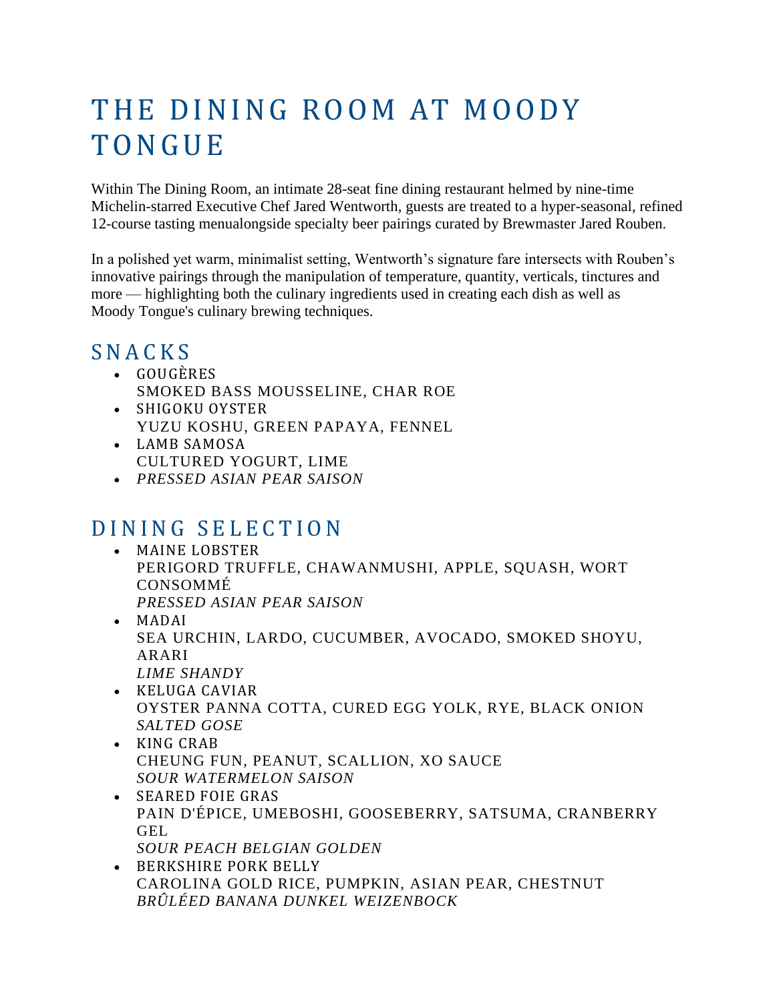## THE DINING ROOM AT MOODY **TONGUE**

Within The Dining Room, an intimate 28-seat fine dining restaurant helmed by nine-time Michelin-starred Executive Chef Jared Wentworth, guests are treated to a hyper-seasonal, refined 12-course tasting menualongside specialty beer pairings curated by Brewmaster Jared Rouben.

In a polished yet warm, minimalist setting, Wentworth's signature fare intersects with Rouben's innovative pairings through the manipulation of temperature, quantity, verticals, tinctures and more — highlighting both the culinary ingredients used in creating each dish as well as Moody Tongue's culinary brewing techniques.

## **SNACKS**

- GOUGÈRES SMOKED BASS MOUSSELINE, CHAR ROE
- SHIGOKU OYSTER YUZU KOSHU, GREEN PAPAYA, FENNEL
- LAMB SAMOSA CULTURED YOGURT, LIME
- *PRESSED ASIAN PEAR SAISON*

## DINING SELECTION

- MAINE LOBSTER PERIGORD TRUFFLE, CHAWANMUSHI, APPLE, SQUASH, WORT CONSOMMÉ *PRESSED ASIAN PEAR SAISON*
- MADAI SEA URCHIN, LARDO, CUCUMBER, AVOCADO, SMOKED SHOYU, ARARI *LIME SHANDY*
- KELUGA CAVIAR OYSTER PANNA COTTA, CURED EGG YOLK, RYE, BLACK ONION *SALTED GOSE*
- KING CRAB CHEUNG FUN, PEANUT, SCALLION, XO SAUCE *SOUR WATERMELON SAISON*
- SEARED FOIE GRAS PAIN D'ÉPICE, UMEBOSHI, GOOSEBERRY, SATSUMA, CRANBERRY GEL *SOUR PEACH BELGIAN GOLDEN*
- BERKSHIRE PORK BELLY CAROLINA GOLD RICE, PUMPKIN, ASIAN PEAR, CHESTNUT *BRÛLÉED BANANA DUNKEL WEIZENBOCK*